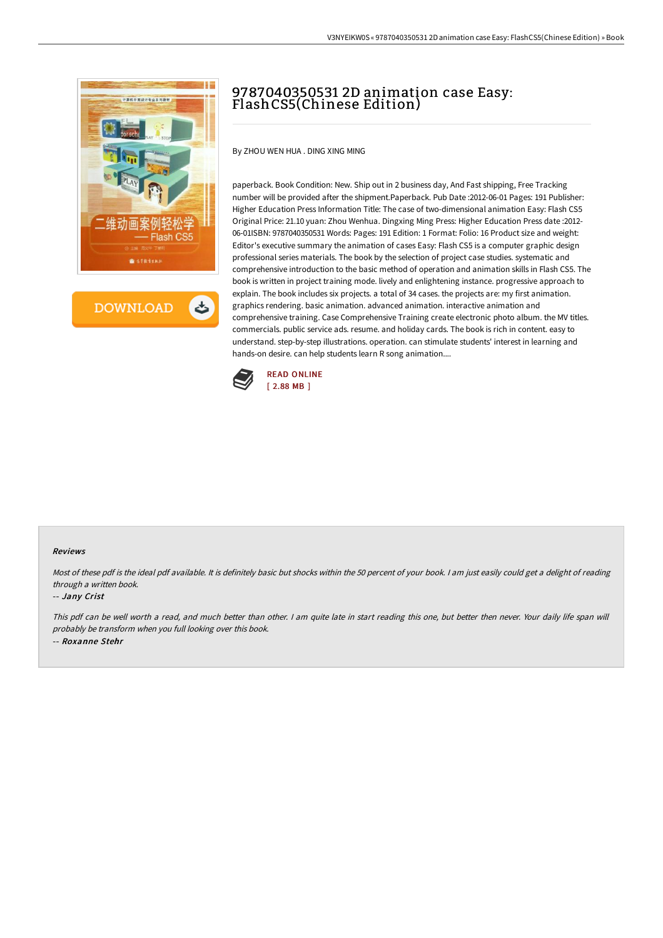

**DOWNLOAD** ٹ

# 9787040350531 2D animation case Easy: FlashCS5(Chinese Edition)

By ZHOU WEN HUA . DING XING MING

paperback. Book Condition: New. Ship out in 2 business day, And Fast shipping, Free Tracking number will be provided after the shipment.Paperback. Pub Date :2012-06-01 Pages: 191 Publisher: Higher Education Press Information Title: The case of two-dimensional animation Easy: Flash CS5 Original Price: 21.10 yuan: Zhou Wenhua. Dingxing Ming Press: Higher Education Press date :2012- 06-01ISBN: 9787040350531 Words: Pages: 191 Edition: 1 Format: Folio: 16 Product size and weight: Editor's executive summary the animation of cases Easy: Flash CS5 is a computer graphic design professional series materials. The book by the selection of project case studies. systematic and comprehensive introduction to the basic method of operation and animation skills in Flash CS5. The book is written in project training mode. lively and enlightening instance. progressive approach to explain. The book includes six projects. a total of 34 cases. the projects are: my first animation. graphics rendering. basic animation. advanced animation. interactive animation and comprehensive training. Case Comprehensive Training create electronic photo album. the MV titles. commercials. public service ads. resume. and holiday cards. The book is rich in content. easy to understand. step-by-step illustrations. operation. can stimulate students' interest in learning and hands-on desire. can help students learn R song animation....



#### Reviews

Most of these pdf is the ideal pdf available. It is definitely basic but shocks within the <sup>50</sup> percent of your book. <sup>I</sup> am just easily could get <sup>a</sup> delight of reading through <sup>a</sup> written book.

#### -- Jany Crist

This pdf can be well worth <sup>a</sup> read, and much better than other. <sup>I</sup> am quite late in start reading this one, but better then never. Your daily life span will probably be transform when you full looking over this book. -- Roxanne Stehr